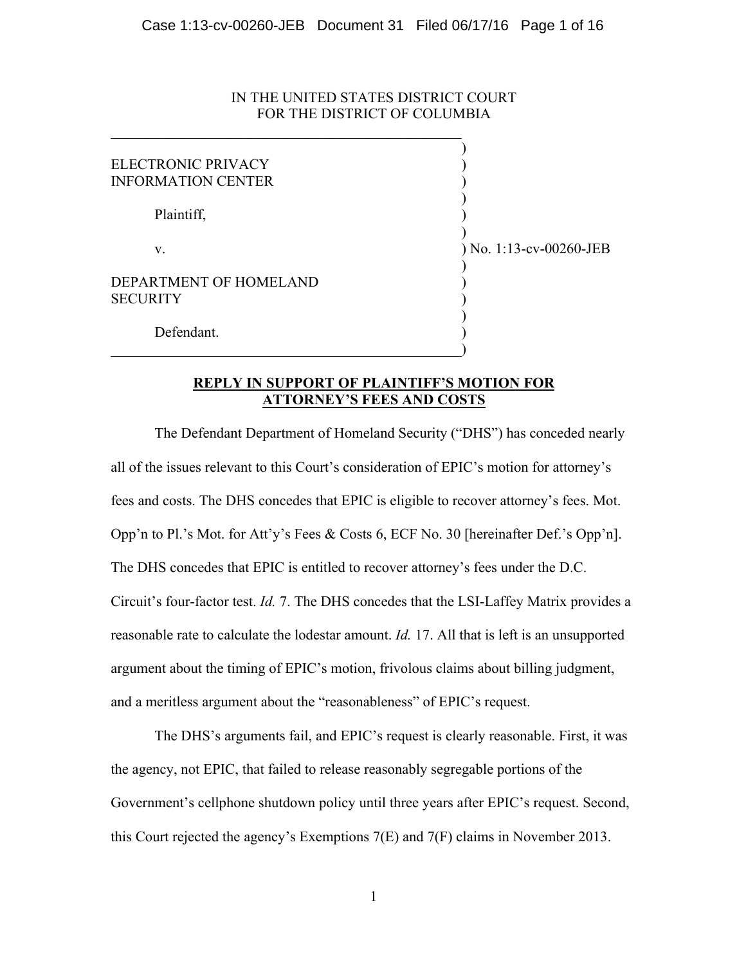# IN THE UNITED STATES DISTRICT COURT FOR THE DISTRICT OF COLUMBIA

 $\mathcal{L}_\text{max}$  and the contract of the contract of the contract of the contract of the contract of the contract of the contract of the contract of the contract of the contract of the contract of the contract of the contrac

| ELECTRONIC PRIVACY<br><b>INFORMATION CENTER</b> |                           |
|-------------------------------------------------|---------------------------|
| Plaintiff,                                      |                           |
| V.                                              | $)$ No. 1:13-cv-00260-JEB |
| DEPARTMENT OF HOMELAND<br>SECURITY              |                           |
| Defendant.                                      |                           |

# **REPLY IN SUPPORT OF PLAINTIFF'S MOTION FOR ATTORNEY'S FEES AND COSTS**

)

The Defendant Department of Homeland Security ("DHS") has conceded nearly all of the issues relevant to this Court's consideration of EPIC's motion for attorney's fees and costs. The DHS concedes that EPIC is eligible to recover attorney's fees. Mot. Opp'n to Pl.'s Mot. for Att'y's Fees & Costs 6, ECF No. 30 [hereinafter Def.'s Opp'n]. The DHS concedes that EPIC is entitled to recover attorney's fees under the D.C. Circuit's four-factor test. *Id.* 7. The DHS concedes that the LSI-Laffey Matrix provides a reasonable rate to calculate the lodestar amount. *Id.* 17. All that is left is an unsupported argument about the timing of EPIC's motion, frivolous claims about billing judgment, and a meritless argument about the "reasonableness" of EPIC's request.

The DHS's arguments fail, and EPIC's request is clearly reasonable. First, it was the agency, not EPIC, that failed to release reasonably segregable portions of the Government's cellphone shutdown policy until three years after EPIC's request. Second, this Court rejected the agency's Exemptions 7(E) and 7(F) claims in November 2013.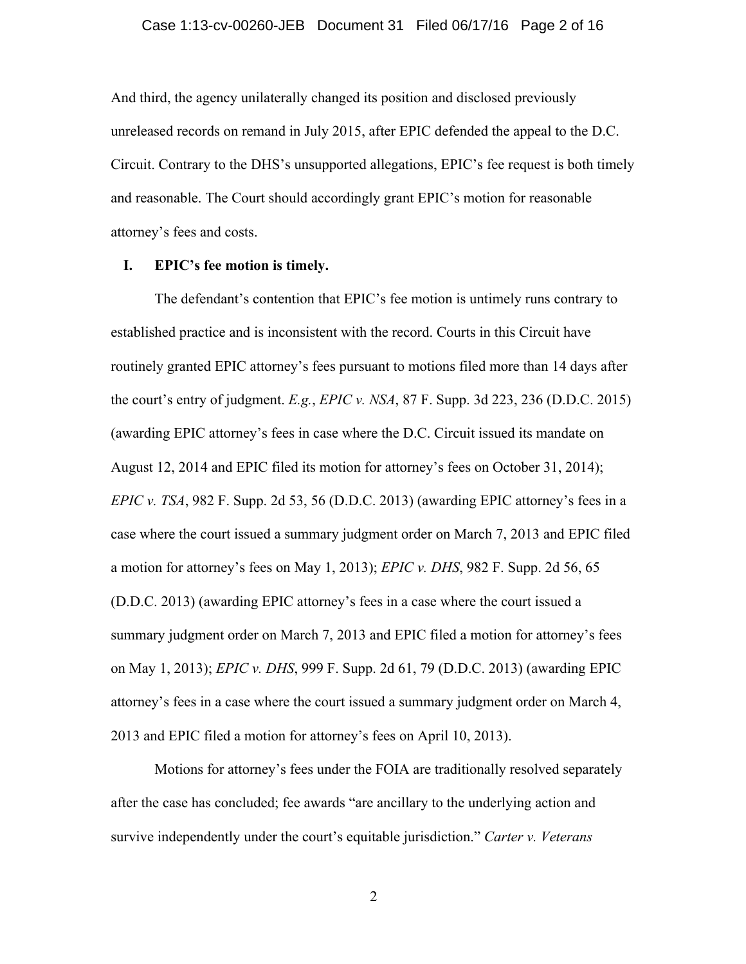#### Case 1:13-cv-00260-JEB Document 31 Filed 06/17/16 Page 2 of 16

And third, the agency unilaterally changed its position and disclosed previously unreleased records on remand in July 2015, after EPIC defended the appeal to the D.C. Circuit. Contrary to the DHS's unsupported allegations, EPIC's fee request is both timely and reasonable. The Court should accordingly grant EPIC's motion for reasonable attorney's fees and costs.

### **I. EPIC's fee motion is timely.**

The defendant's contention that EPIC's fee motion is untimely runs contrary to established practice and is inconsistent with the record. Courts in this Circuit have routinely granted EPIC attorney's fees pursuant to motions filed more than 14 days after the court's entry of judgment. *E.g.*, *EPIC v. NSA*, 87 F. Supp. 3d 223, 236 (D.D.C. 2015) (awarding EPIC attorney's fees in case where the D.C. Circuit issued its mandate on August 12, 2014 and EPIC filed its motion for attorney's fees on October 31, 2014); *EPIC v. TSA*, 982 F. Supp. 2d 53, 56 (D.D.C. 2013) (awarding EPIC attorney's fees in a case where the court issued a summary judgment order on March 7, 2013 and EPIC filed a motion for attorney's fees on May 1, 2013); *EPIC v. DHS*, 982 F. Supp. 2d 56, 65 (D.D.C. 2013) (awarding EPIC attorney's fees in a case where the court issued a summary judgment order on March 7, 2013 and EPIC filed a motion for attorney's fees on May 1, 2013); *EPIC v. DHS*, 999 F. Supp. 2d 61, 79 (D.D.C. 2013) (awarding EPIC attorney's fees in a case where the court issued a summary judgment order on March 4, 2013 and EPIC filed a motion for attorney's fees on April 10, 2013).

Motions for attorney's fees under the FOIA are traditionally resolved separately after the case has concluded; fee awards "are ancillary to the underlying action and survive independently under the court's equitable jurisdiction." *Carter v. Veterans*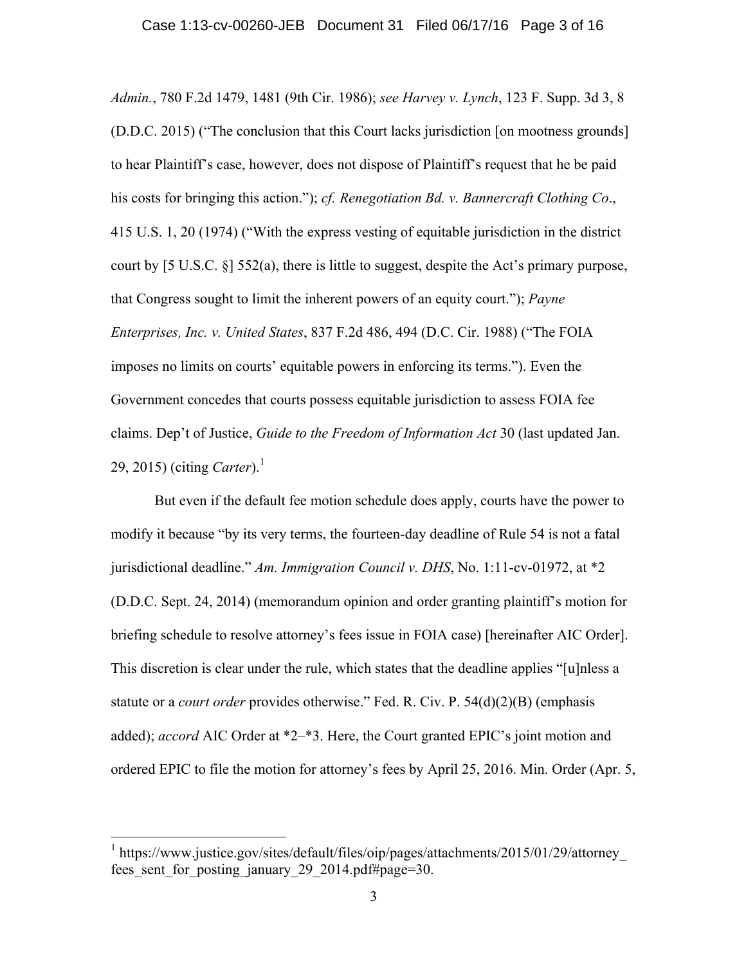*Admin.*, 780 F.2d 1479, 1481 (9th Cir. 1986); *see Harvey v. Lynch*, 123 F. Supp. 3d 3, 8 (D.D.C. 2015) ("The conclusion that this Court lacks jurisdiction [on mootness grounds] to hear Plaintiff's case, however, does not dispose of Plaintiff's request that he be paid his costs for bringing this action."); *cf. Renegotiation Bd. v. Bannercraft Clothing Co*., 415 U.S. 1, 20 (1974) ("With the express vesting of equitable jurisdiction in the district court by  $[5 \text{ U.S.C. } \S] 552(a)$ , there is little to suggest, despite the Act's primary purpose, that Congress sought to limit the inherent powers of an equity court."); *Payne Enterprises, Inc. v. United States*, 837 F.2d 486, 494 (D.C. Cir. 1988) ("The FOIA imposes no limits on courts' equitable powers in enforcing its terms."). Even the Government concedes that courts possess equitable jurisdiction to assess FOIA fee claims. Dep't of Justice, *Guide to the Freedom of Information Act* 30 (last updated Jan. 29, 2015) (citing *Carter*).<sup>1</sup>

But even if the default fee motion schedule does apply, courts have the power to modify it because "by its very terms, the fourteen-day deadline of Rule 54 is not a fatal jurisdictional deadline." *Am. Immigration Council v. DHS*, No. 1:11-cv-01972, at \*2 (D.D.C. Sept. 24, 2014) (memorandum opinion and order granting plaintiff's motion for briefing schedule to resolve attorney's fees issue in FOIA case) [hereinafter AIC Order]. This discretion is clear under the rule, which states that the deadline applies "[u]nless a statute or a *court order* provides otherwise." Fed. R. Civ. P. 54(d)(2)(B) (emphasis added); *accord* AIC Order at \*2–\*3. Here, the Court granted EPIC's joint motion and ordered EPIC to file the motion for attorney's fees by April 25, 2016. Min. Order (Apr. 5,

<sup>&</sup>lt;sup>1</sup> https://www.justice.gov/sites/default/files/oip/pages/attachments/2015/01/29/attorney fees sent for posting january 29 2014.pdf#page=30.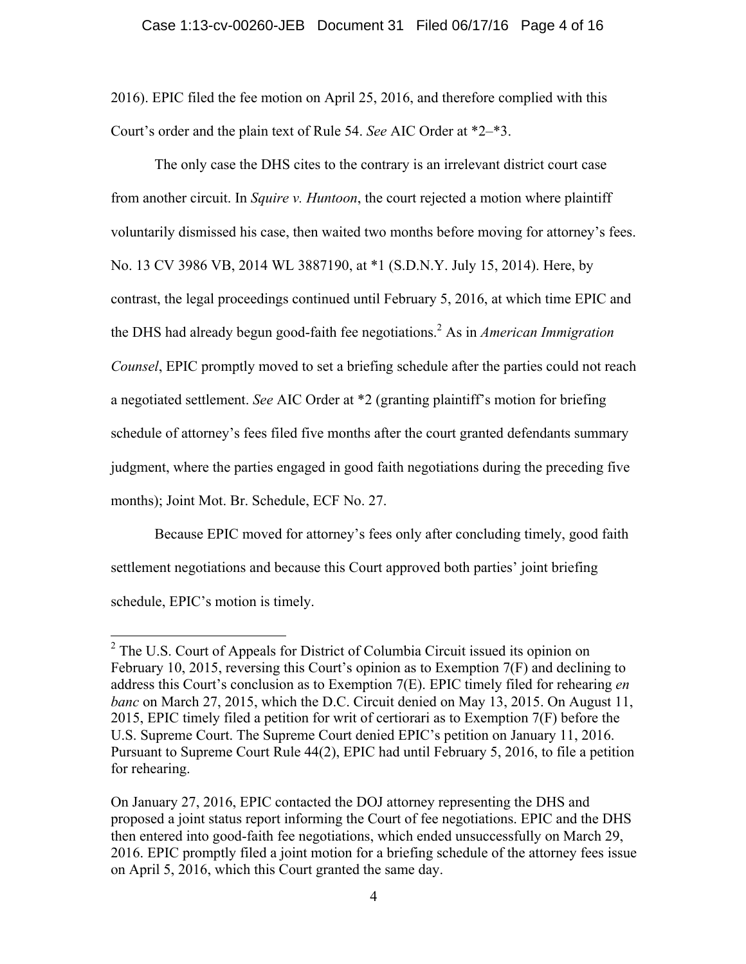2016). EPIC filed the fee motion on April 25, 2016, and therefore complied with this Court's order and the plain text of Rule 54. *See* AIC Order at \*2–\*3.

The only case the DHS cites to the contrary is an irrelevant district court case from another circuit. In *Squire v. Huntoon*, the court rejected a motion where plaintiff voluntarily dismissed his case, then waited two months before moving for attorney's fees. No. 13 CV 3986 VB, 2014 WL 3887190, at \*1 (S.D.N.Y. July 15, 2014). Here, by contrast, the legal proceedings continued until February 5, 2016, at which time EPIC and the DHS had already begun good-faith fee negotiations.2 As in *American Immigration Counsel*, EPIC promptly moved to set a briefing schedule after the parties could not reach a negotiated settlement. *See* AIC Order at \*2 (granting plaintiff's motion for briefing schedule of attorney's fees filed five months after the court granted defendants summary judgment, where the parties engaged in good faith negotiations during the preceding five months); Joint Mot. Br. Schedule, ECF No. 27.

Because EPIC moved for attorney's fees only after concluding timely, good faith settlement negotiations and because this Court approved both parties' joint briefing schedule, EPIC's motion is timely.

 <sup>2</sup> The U.S. Court of Appeals for District of Columbia Circuit issued its opinion on February 10, 2015, reversing this Court's opinion as to Exemption 7(F) and declining to address this Court's conclusion as to Exemption 7(E). EPIC timely filed for rehearing *en banc* on March 27, 2015, which the D.C. Circuit denied on May 13, 2015. On August 11, 2015, EPIC timely filed a petition for writ of certiorari as to Exemption 7(F) before the U.S. Supreme Court. The Supreme Court denied EPIC's petition on January 11, 2016. Pursuant to Supreme Court Rule 44(2), EPIC had until February 5, 2016, to file a petition for rehearing.

On January 27, 2016, EPIC contacted the DOJ attorney representing the DHS and proposed a joint status report informing the Court of fee negotiations. EPIC and the DHS then entered into good-faith fee negotiations, which ended unsuccessfully on March 29, 2016. EPIC promptly filed a joint motion for a briefing schedule of the attorney fees issue on April 5, 2016, which this Court granted the same day.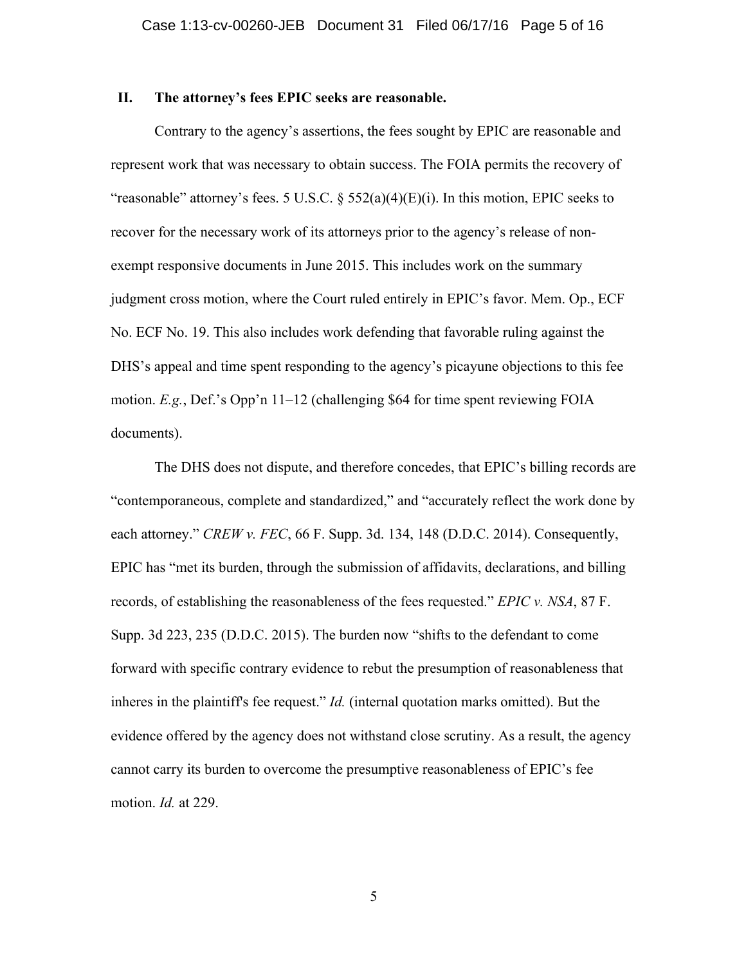### **II. The attorney's fees EPIC seeks are reasonable.**

Contrary to the agency's assertions, the fees sought by EPIC are reasonable and represent work that was necessary to obtain success. The FOIA permits the recovery of "reasonable" attorney's fees. 5 U.S.C.  $\S$  552(a)(4)(E)(i). In this motion, EPIC seeks to recover for the necessary work of its attorneys prior to the agency's release of nonexempt responsive documents in June 2015. This includes work on the summary judgment cross motion, where the Court ruled entirely in EPIC's favor. Mem. Op., ECF No. ECF No. 19. This also includes work defending that favorable ruling against the DHS's appeal and time spent responding to the agency's picayune objections to this fee motion. *E.g.*, Def.'s Opp'n 11–12 (challenging \$64 for time spent reviewing FOIA documents).

The DHS does not dispute, and therefore concedes, that EPIC's billing records are "contemporaneous, complete and standardized," and "accurately reflect the work done by each attorney." *CREW v. FEC*, 66 F. Supp. 3d. 134, 148 (D.D.C. 2014). Consequently, EPIC has "met its burden, through the submission of affidavits, declarations, and billing records, of establishing the reasonableness of the fees requested." *EPIC v. NSA*, 87 F. Supp. 3d 223, 235 (D.D.C. 2015). The burden now "shifts to the defendant to come forward with specific contrary evidence to rebut the presumption of reasonableness that inheres in the plaintiff's fee request." *Id.* (internal quotation marks omitted). But the evidence offered by the agency does not withstand close scrutiny. As a result, the agency cannot carry its burden to overcome the presumptive reasonableness of EPIC's fee motion. *Id.* at 229.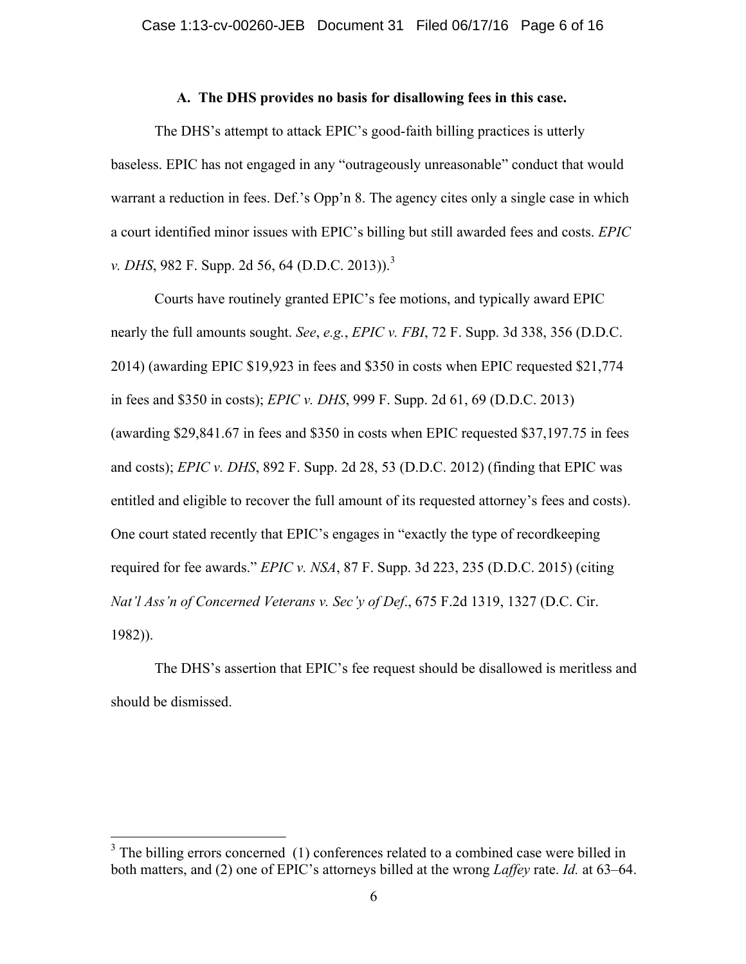### **A. The DHS provides no basis for disallowing fees in this case.**

The DHS's attempt to attack EPIC's good-faith billing practices is utterly baseless. EPIC has not engaged in any "outrageously unreasonable" conduct that would warrant a reduction in fees. Def.'s Opp'n 8. The agency cites only a single case in which a court identified minor issues with EPIC's billing but still awarded fees and costs. *EPIC v. DHS*, 982 F. Supp. 2d 56, 64 (D.D.C. 2013)).<sup>3</sup>

Courts have routinely granted EPIC's fee motions, and typically award EPIC nearly the full amounts sought. *See*, *e.g.*, *EPIC v. FBI*, 72 F. Supp. 3d 338, 356 (D.D.C. 2014) (awarding EPIC \$19,923 in fees and \$350 in costs when EPIC requested \$21,774 in fees and \$350 in costs); *EPIC v. DHS*, 999 F. Supp. 2d 61, 69 (D.D.C. 2013) (awarding \$29,841.67 in fees and \$350 in costs when EPIC requested \$37,197.75 in fees and costs); *EPIC v. DHS*, 892 F. Supp. 2d 28, 53 (D.D.C. 2012) (finding that EPIC was entitled and eligible to recover the full amount of its requested attorney's fees and costs). One court stated recently that EPIC's engages in "exactly the type of recordkeeping required for fee awards." *EPIC v. NSA*, 87 F. Supp. 3d 223, 235 (D.D.C. 2015) (citing *Nat'l Ass'n of Concerned Veterans v. Sec'y of Def*., 675 F.2d 1319, 1327 (D.C. Cir. 1982)).

The DHS's assertion that EPIC's fee request should be disallowed is meritless and should be dismissed.

 $3$  The billing errors concerned (1) conferences related to a combined case were billed in both matters, and (2) one of EPIC's attorneys billed at the wrong *Laffey* rate. *Id.* at 63–64.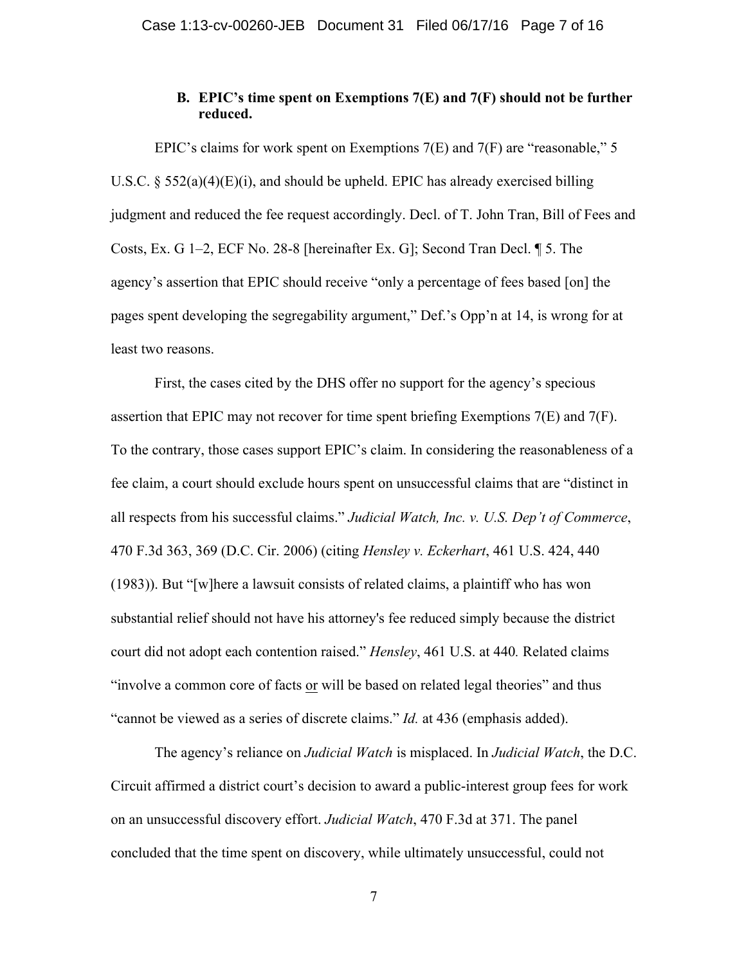# **B. EPIC's time spent on Exemptions 7(E) and 7(F) should not be further reduced.**

EPIC's claims for work spent on Exemptions 7(E) and 7(F) are "reasonable," 5 U.S.C.  $\S$  552(a)(4)(E)(i), and should be upheld. EPIC has already exercised billing judgment and reduced the fee request accordingly. Decl. of T. John Tran, Bill of Fees and Costs, Ex. G 1–2, ECF No. 28-8 [hereinafter Ex. G]; Second Tran Decl. ¶ 5. The agency's assertion that EPIC should receive "only a percentage of fees based [on] the pages spent developing the segregability argument," Def.'s Opp'n at 14, is wrong for at least two reasons.

First, the cases cited by the DHS offer no support for the agency's specious assertion that EPIC may not recover for time spent briefing Exemptions 7(E) and 7(F). To the contrary, those cases support EPIC's claim. In considering the reasonableness of a fee claim, a court should exclude hours spent on unsuccessful claims that are "distinct in all respects from his successful claims." *Judicial Watch, Inc. v. U.S. Dep't of Commerce*, 470 F.3d 363, 369 (D.C. Cir. 2006) (citing *Hensley v. Eckerhart*, 461 U.S. 424, 440 (1983)). But "[w]here a lawsuit consists of related claims, a plaintiff who has won substantial relief should not have his attorney's fee reduced simply because the district court did not adopt each contention raised." *Hensley*, 461 U.S. at 440*.* Related claims "involve a common core of facts or will be based on related legal theories" and thus "cannot be viewed as a series of discrete claims." *Id.* at 436 (emphasis added).

The agency's reliance on *Judicial Watch* is misplaced. In *Judicial Watch*, the D.C. Circuit affirmed a district court's decision to award a public-interest group fees for work on an unsuccessful discovery effort. *Judicial Watch*, 470 F.3d at 371. The panel concluded that the time spent on discovery, while ultimately unsuccessful, could not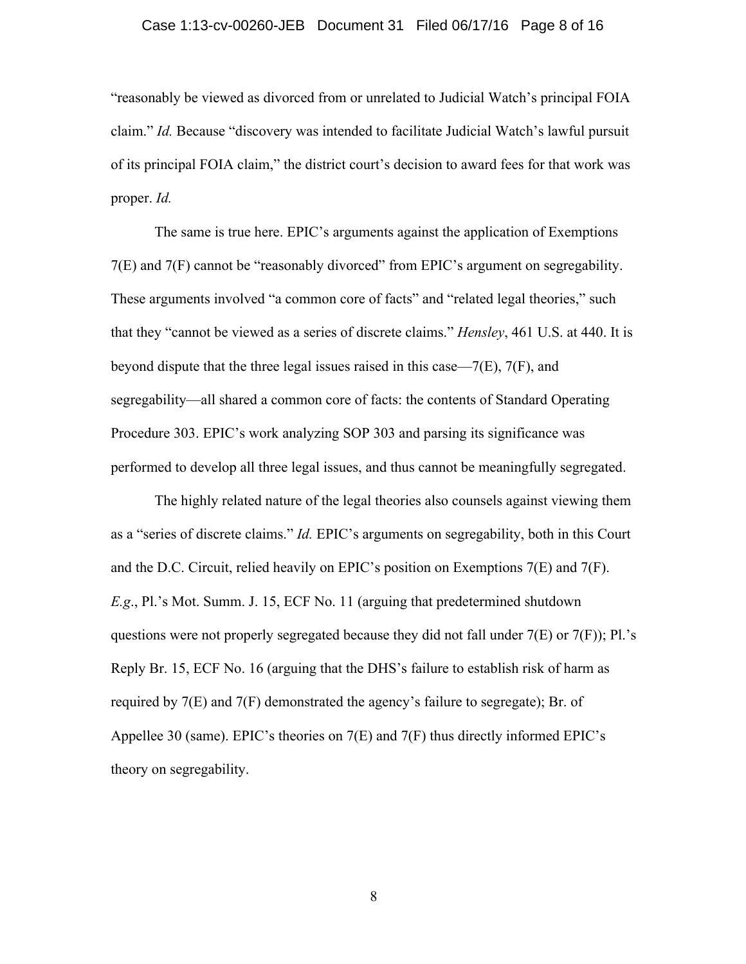#### Case 1:13-cv-00260-JEB Document 31 Filed 06/17/16 Page 8 of 16

"reasonably be viewed as divorced from or unrelated to Judicial Watch's principal FOIA claim." *Id.* Because "discovery was intended to facilitate Judicial Watch's lawful pursuit of its principal FOIA claim," the district court's decision to award fees for that work was proper. *Id.* 

The same is true here. EPIC's arguments against the application of Exemptions 7(E) and 7(F) cannot be "reasonably divorced" from EPIC's argument on segregability. These arguments involved "a common core of facts" and "related legal theories," such that they "cannot be viewed as a series of discrete claims." *Hensley*, 461 U.S. at 440. It is beyond dispute that the three legal issues raised in this case— $7(E)$ ,  $7(F)$ , and segregability—all shared a common core of facts: the contents of Standard Operating Procedure 303. EPIC's work analyzing SOP 303 and parsing its significance was performed to develop all three legal issues, and thus cannot be meaningfully segregated.

The highly related nature of the legal theories also counsels against viewing them as a "series of discrete claims." *Id.* EPIC's arguments on segregability, both in this Court and the D.C. Circuit, relied heavily on EPIC's position on Exemptions 7(E) and 7(F). *E.g*., Pl.'s Mot. Summ. J. 15, ECF No. 11 (arguing that predetermined shutdown questions were not properly segregated because they did not fall under  $7(E)$  or  $7(F)$ ; Pl.'s Reply Br. 15, ECF No. 16 (arguing that the DHS's failure to establish risk of harm as required by 7(E) and 7(F) demonstrated the agency's failure to segregate); Br. of Appellee 30 (same). EPIC's theories on 7(E) and 7(F) thus directly informed EPIC's theory on segregability.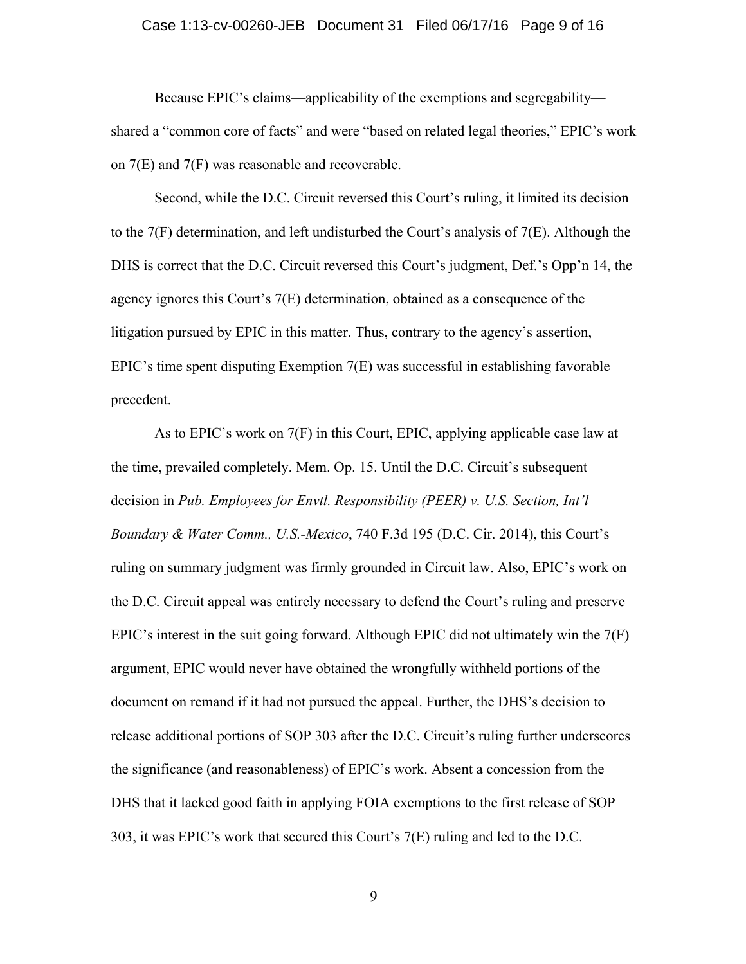#### Case 1:13-cv-00260-JEB Document 31 Filed 06/17/16 Page 9 of 16

Because EPIC's claims—applicability of the exemptions and segregability shared a "common core of facts" and were "based on related legal theories," EPIC's work on 7(E) and 7(F) was reasonable and recoverable.

Second, while the D.C. Circuit reversed this Court's ruling, it limited its decision to the 7(F) determination, and left undisturbed the Court's analysis of 7(E). Although the DHS is correct that the D.C. Circuit reversed this Court's judgment, Def.'s Opp'n 14, the agency ignores this Court's 7(E) determination, obtained as a consequence of the litigation pursued by EPIC in this matter. Thus, contrary to the agency's assertion, EPIC's time spent disputing Exemption 7(E) was successful in establishing favorable precedent.

As to EPIC's work on 7(F) in this Court, EPIC, applying applicable case law at the time, prevailed completely. Mem. Op. 15. Until the D.C. Circuit's subsequent decision in *Pub. Employees for Envtl. Responsibility (PEER) v. U.S. Section, Int'l Boundary & Water Comm., U.S.-Mexico*, 740 F.3d 195 (D.C. Cir. 2014), this Court's ruling on summary judgment was firmly grounded in Circuit law. Also, EPIC's work on the D.C. Circuit appeal was entirely necessary to defend the Court's ruling and preserve EPIC's interest in the suit going forward. Although EPIC did not ultimately win the  $7(F)$ argument, EPIC would never have obtained the wrongfully withheld portions of the document on remand if it had not pursued the appeal. Further, the DHS's decision to release additional portions of SOP 303 after the D.C. Circuit's ruling further underscores the significance (and reasonableness) of EPIC's work. Absent a concession from the DHS that it lacked good faith in applying FOIA exemptions to the first release of SOP 303, it was EPIC's work that secured this Court's 7(E) ruling and led to the D.C.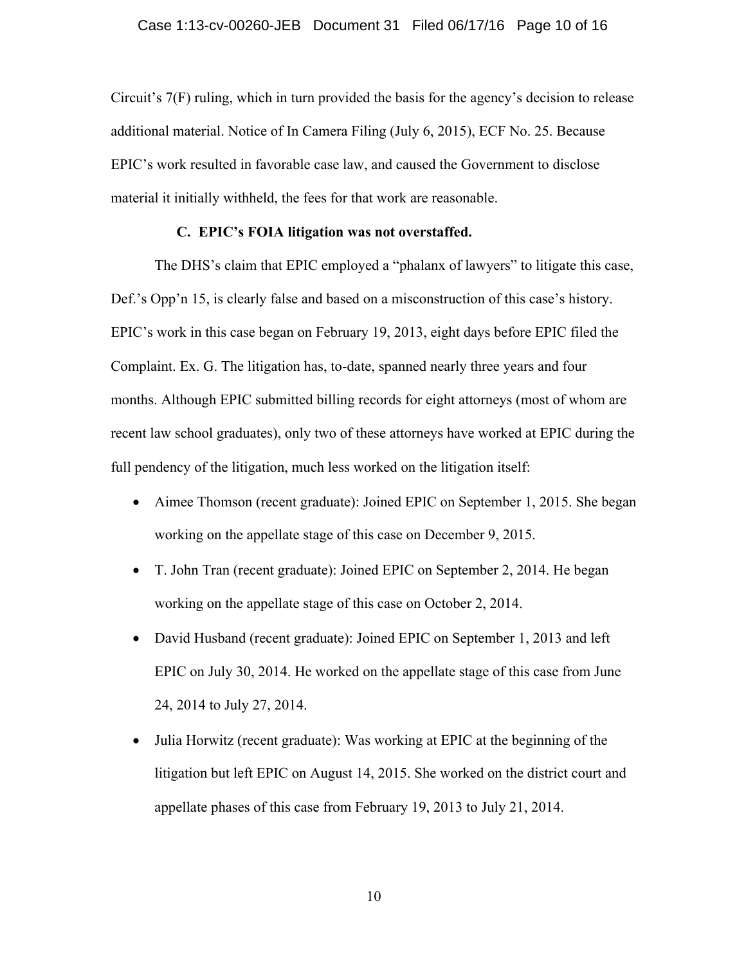Circuit's 7(F) ruling, which in turn provided the basis for the agency's decision to release additional material. Notice of In Camera Filing (July 6, 2015), ECF No. 25. Because EPIC's work resulted in favorable case law, and caused the Government to disclose material it initially withheld, the fees for that work are reasonable.

#### **C. EPIC's FOIA litigation was not overstaffed.**

The DHS's claim that EPIC employed a "phalanx of lawyers" to litigate this case, Def.'s Opp'n 15, is clearly false and based on a misconstruction of this case's history. EPIC's work in this case began on February 19, 2013, eight days before EPIC filed the Complaint. Ex. G. The litigation has, to-date, spanned nearly three years and four months. Although EPIC submitted billing records for eight attorneys (most of whom are recent law school graduates), only two of these attorneys have worked at EPIC during the full pendency of the litigation, much less worked on the litigation itself:

- Aimee Thomson (recent graduate): Joined EPIC on September 1, 2015. She began working on the appellate stage of this case on December 9, 2015.
- T. John Tran (recent graduate): Joined EPIC on September 2, 2014. He began working on the appellate stage of this case on October 2, 2014.
- David Husband (recent graduate): Joined EPIC on September 1, 2013 and left EPIC on July 30, 2014. He worked on the appellate stage of this case from June 24, 2014 to July 27, 2014.
- Julia Horwitz (recent graduate): Was working at EPIC at the beginning of the litigation but left EPIC on August 14, 2015. She worked on the district court and appellate phases of this case from February 19, 2013 to July 21, 2014.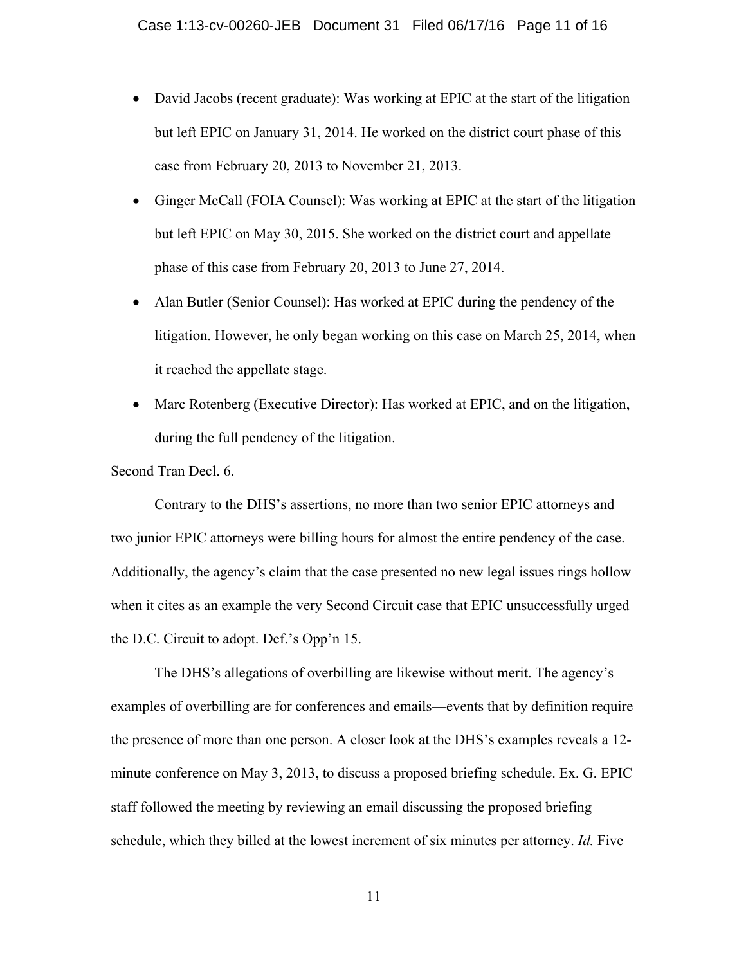- David Jacobs (recent graduate): Was working at EPIC at the start of the litigation but left EPIC on January 31, 2014. He worked on the district court phase of this case from February 20, 2013 to November 21, 2013.
- Ginger McCall (FOIA Counsel): Was working at EPIC at the start of the litigation but left EPIC on May 30, 2015. She worked on the district court and appellate phase of this case from February 20, 2013 to June 27, 2014.
- Alan Butler (Senior Counsel): Has worked at EPIC during the pendency of the litigation. However, he only began working on this case on March 25, 2014, when it reached the appellate stage.
- Marc Rotenberg (Executive Director): Has worked at EPIC, and on the litigation, during the full pendency of the litigation.

Second Tran Decl. 6.

Contrary to the DHS's assertions, no more than two senior EPIC attorneys and two junior EPIC attorneys were billing hours for almost the entire pendency of the case. Additionally, the agency's claim that the case presented no new legal issues rings hollow when it cites as an example the very Second Circuit case that EPIC unsuccessfully urged the D.C. Circuit to adopt. Def.'s Opp'n 15.

The DHS's allegations of overbilling are likewise without merit. The agency's examples of overbilling are for conferences and emails—events that by definition require the presence of more than one person. A closer look at the DHS's examples reveals a 12 minute conference on May 3, 2013, to discuss a proposed briefing schedule. Ex. G. EPIC staff followed the meeting by reviewing an email discussing the proposed briefing schedule, which they billed at the lowest increment of six minutes per attorney. *Id.* Five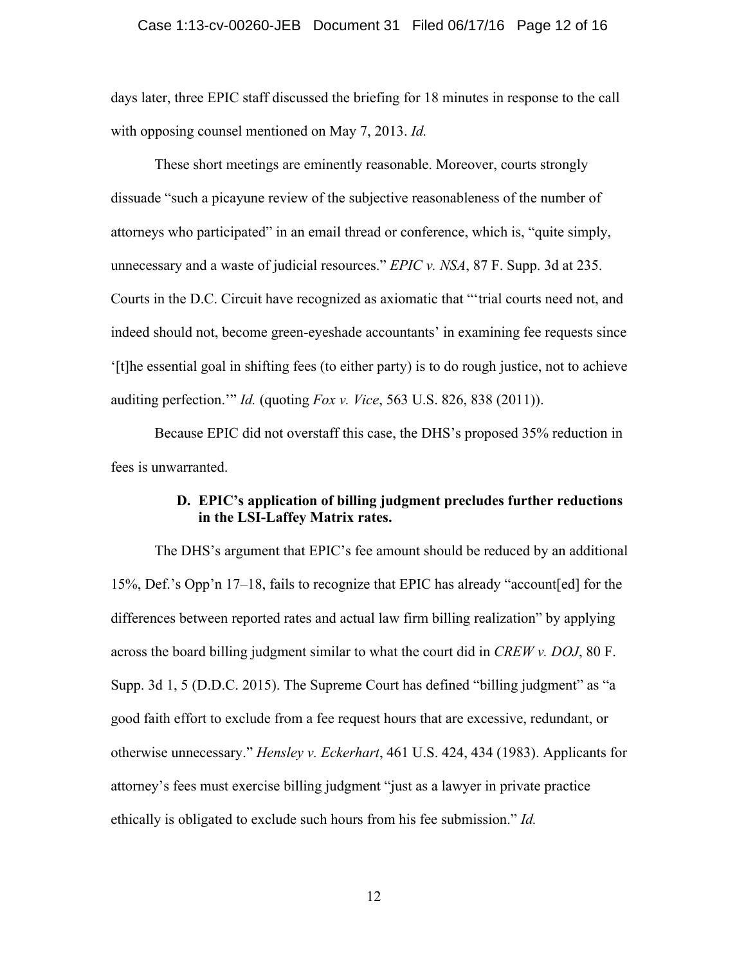#### Case 1:13-cv-00260-JEB Document 31 Filed 06/17/16 Page 12 of 16

days later, three EPIC staff discussed the briefing for 18 minutes in response to the call with opposing counsel mentioned on May 7, 2013. *Id.*

These short meetings are eminently reasonable. Moreover, courts strongly dissuade "such a picayune review of the subjective reasonableness of the number of attorneys who participated" in an email thread or conference, which is, "quite simply, unnecessary and a waste of judicial resources." *EPIC v. NSA*, 87 F. Supp. 3d at 235. Courts in the D.C. Circuit have recognized as axiomatic that "'trial courts need not, and indeed should not, become green-eyeshade accountants' in examining fee requests since '[t]he essential goal in shifting fees (to either party) is to do rough justice, not to achieve auditing perfection.'" *Id.* (quoting *Fox v. Vice*, 563 U.S. 826, 838 (2011)).

Because EPIC did not overstaff this case, the DHS's proposed 35% reduction in fees is unwarranted.

# **D. EPIC's application of billing judgment precludes further reductions in the LSI-Laffey Matrix rates.**

The DHS's argument that EPIC's fee amount should be reduced by an additional 15%, Def.'s Opp'n 17–18, fails to recognize that EPIC has already "account[ed] for the differences between reported rates and actual law firm billing realization" by applying across the board billing judgment similar to what the court did in *CREW v. DOJ*, 80 F. Supp. 3d 1, 5 (D.D.C. 2015). The Supreme Court has defined "billing judgment" as "a good faith effort to exclude from a fee request hours that are excessive, redundant, or otherwise unnecessary." *Hensley v. Eckerhart*, 461 U.S. 424, 434 (1983). Applicants for attorney's fees must exercise billing judgment "just as a lawyer in private practice ethically is obligated to exclude such hours from his fee submission." *Id.*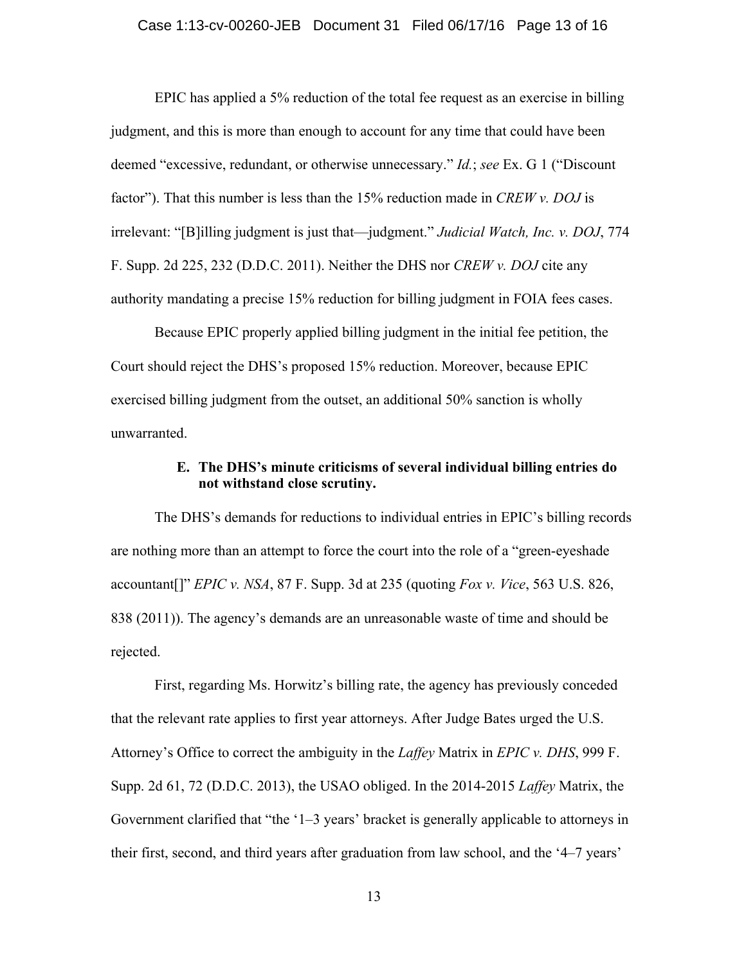EPIC has applied a 5% reduction of the total fee request as an exercise in billing judgment, and this is more than enough to account for any time that could have been deemed "excessive, redundant, or otherwise unnecessary." *Id.*; *see* Ex. G 1 ("Discount factor"). That this number is less than the 15% reduction made in *CREW v. DOJ* is irrelevant: "[B]illing judgment is just that—judgment." *Judicial Watch, Inc. v. DOJ*, 774 F. Supp. 2d 225, 232 (D.D.C. 2011). Neither the DHS nor *CREW v. DOJ* cite any authority mandating a precise 15% reduction for billing judgment in FOIA fees cases.

Because EPIC properly applied billing judgment in the initial fee petition, the Court should reject the DHS's proposed 15% reduction. Moreover, because EPIC exercised billing judgment from the outset, an additional 50% sanction is wholly unwarranted.

## **E. The DHS's minute criticisms of several individual billing entries do not withstand close scrutiny.**

The DHS's demands for reductions to individual entries in EPIC's billing records are nothing more than an attempt to force the court into the role of a "green-eyeshade accountant[]" *EPIC v. NSA*, 87 F. Supp. 3d at 235 (quoting *Fox v. Vice*, 563 U.S. 826, 838 (2011)). The agency's demands are an unreasonable waste of time and should be rejected.

First, regarding Ms. Horwitz's billing rate, the agency has previously conceded that the relevant rate applies to first year attorneys. After Judge Bates urged the U.S. Attorney's Office to correct the ambiguity in the *Laffey* Matrix in *EPIC v. DHS*, 999 F. Supp. 2d 61, 72 (D.D.C. 2013), the USAO obliged. In the 2014-2015 *Laffey* Matrix, the Government clarified that "the '1–3 years' bracket is generally applicable to attorneys in their first, second, and third years after graduation from law school, and the '4–7 years'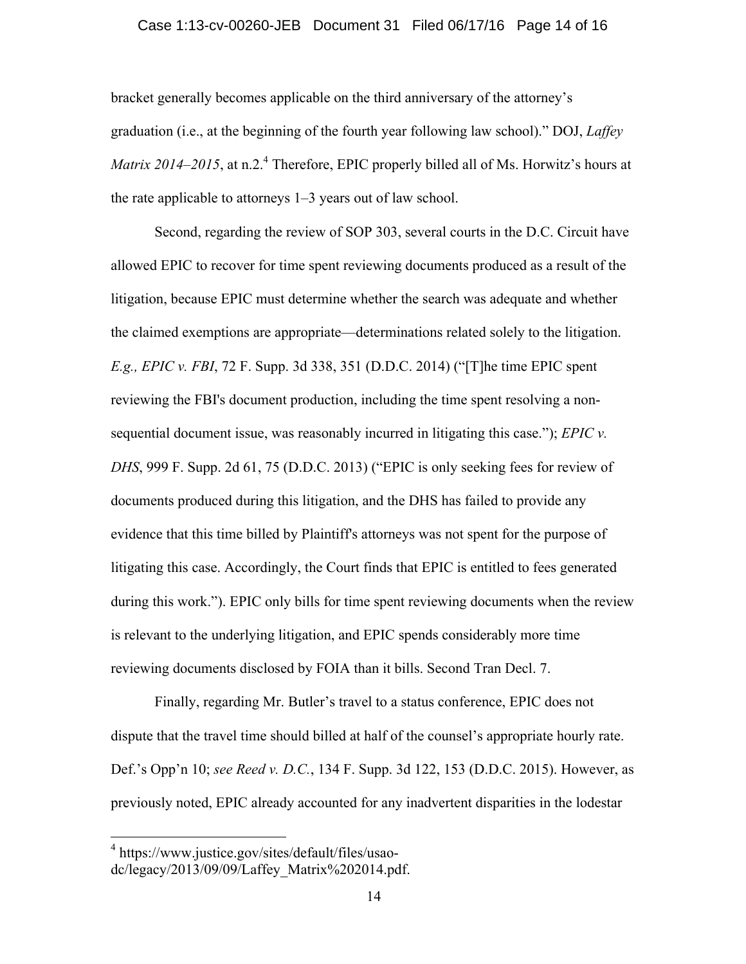#### Case 1:13-cv-00260-JEB Document 31 Filed 06/17/16 Page 14 of 16

bracket generally becomes applicable on the third anniversary of the attorney's graduation (i.e., at the beginning of the fourth year following law school)." DOJ, *Laffey Matrix 2014–2015*, at n.2<sup>4</sup> Therefore, EPIC properly billed all of Ms. Horwitz's hours at the rate applicable to attorneys 1–3 years out of law school.

Second, regarding the review of SOP 303, several courts in the D.C. Circuit have allowed EPIC to recover for time spent reviewing documents produced as a result of the litigation, because EPIC must determine whether the search was adequate and whether the claimed exemptions are appropriate—determinations related solely to the litigation. *E.g., EPIC v. FBI*, 72 F. Supp. 3d 338, 351 (D.D.C. 2014) ("[T]he time EPIC spent reviewing the FBI's document production, including the time spent resolving a nonsequential document issue, was reasonably incurred in litigating this case."); *EPIC v. DHS*, 999 F. Supp. 2d 61, 75 (D.D.C. 2013) ("EPIC is only seeking fees for review of documents produced during this litigation, and the DHS has failed to provide any evidence that this time billed by Plaintiff's attorneys was not spent for the purpose of litigating this case. Accordingly, the Court finds that EPIC is entitled to fees generated during this work."). EPIC only bills for time spent reviewing documents when the review is relevant to the underlying litigation, and EPIC spends considerably more time reviewing documents disclosed by FOIA than it bills. Second Tran Decl. 7.

Finally, regarding Mr. Butler's travel to a status conference, EPIC does not dispute that the travel time should billed at half of the counsel's appropriate hourly rate. Def.'s Opp'n 10; *see Reed v. D.C.*, 134 F. Supp. 3d 122, 153 (D.D.C. 2015). However, as previously noted, EPIC already accounted for any inadvertent disparities in the lodestar

 <sup>4</sup> https://www.justice.gov/sites/default/files/usaodc/legacy/2013/09/09/Laffey\_Matrix%202014.pdf.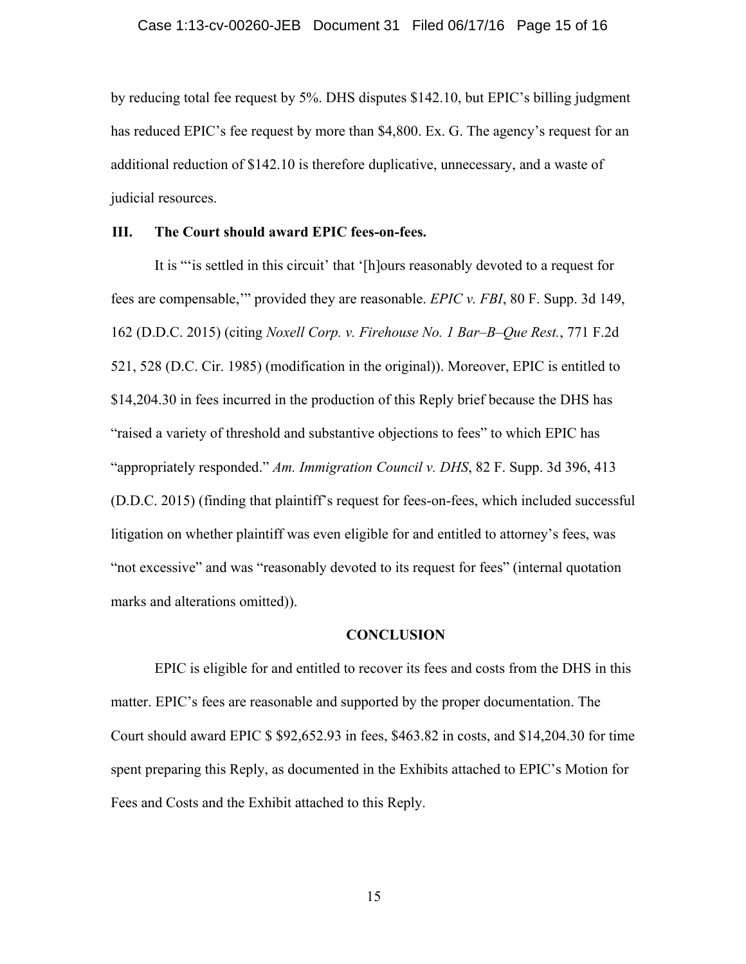by reducing total fee request by 5%. DHS disputes \$142.10, but EPIC's billing judgment has reduced EPIC's fee request by more than \$4,800. Ex. G. The agency's request for an additional reduction of \$142.10 is therefore duplicative, unnecessary, and a waste of judicial resources.

### **III. The Court should award EPIC fees-on-fees.**

It is "'is settled in this circuit' that '[h]ours reasonably devoted to a request for fees are compensable,'" provided they are reasonable. *EPIC v. FBI*, 80 F. Supp. 3d 149, 162 (D.D.C. 2015) (citing *Noxell Corp. v. Firehouse No. 1 Bar–B–Que Rest.*, 771 F.2d 521, 528 (D.C. Cir. 1985) (modification in the original)). Moreover, EPIC is entitled to \$14,204.30 in fees incurred in the production of this Reply brief because the DHS has "raised a variety of threshold and substantive objections to fees" to which EPIC has "appropriately responded." *Am. Immigration Council v. DHS*, 82 F. Supp. 3d 396, 413 (D.D.C. 2015) (finding that plaintiff's request for fees-on-fees, which included successful litigation on whether plaintiff was even eligible for and entitled to attorney's fees, was "not excessive" and was "reasonably devoted to its request for fees" (internal quotation marks and alterations omitted)).

### **CONCLUSION**

EPIC is eligible for and entitled to recover its fees and costs from the DHS in this matter. EPIC's fees are reasonable and supported by the proper documentation. The Court should award EPIC \$ \$92,652.93 in fees, \$463.82 in costs, and \$14,204.30 for time spent preparing this Reply, as documented in the Exhibits attached to EPIC's Motion for Fees and Costs and the Exhibit attached to this Reply.